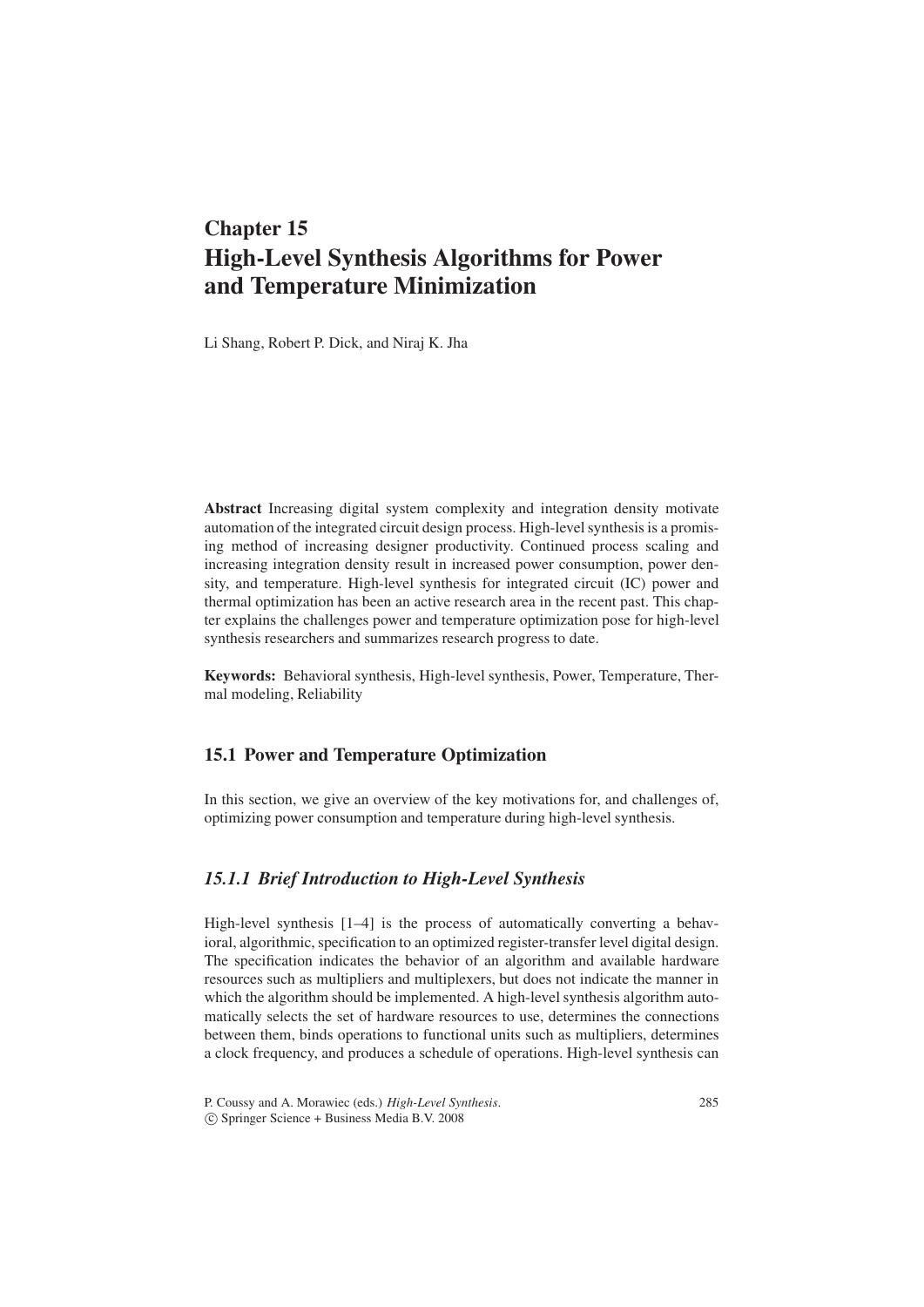# **Chapter 15 High-Level Synthesis Algorithms for Power and Temperature Minimization**

Li Shang, Robert P. Dick, and Niraj K. Jha

**Abstract** Increasing digital system complexity and integration density motivate automation of the integrated circuit design process. High-level synthesis is a promising method of increasing designer productivity. Continued process scaling and increasing integration density result in increased power consumption, power density, and temperature. High-level synthesis for integrated circuit (IC) power and thermal optimization has been an active research area in the recent past. This chapter explains the challenges power and temperature optimization pose for high-level synthesis researchers and summarizes research progress to date.

**Keywords:** Behavioral synthesis, High-level synthesis, Power, Temperature, Thermal modeling, Reliability

# **15.1 Power and Temperature Optimization**

In this section, we give an overview of the key motivations for, and challenges of, optimizing power consumption and temperature during high-level synthesis.

## *15.1.1 Brief Introduction to High-Level Synthesis*

High-level synthesis [1–4] is the process of automatically converting a behavioral, algorithmic, specification to an optimized register-transfer level digital design. The specification indicates the behavior of an algorithm and available hardware resources such as multipliers and multiplexers, but does not indicate the manner in which the algorithm should be implemented. A high-level synthesis algorithm automatically selects the set of hardware resources to use, determines the connections between them, binds operations to functional units such as multipliers, determines a clock frequency, and produces a schedule of operations. High-level synthesis can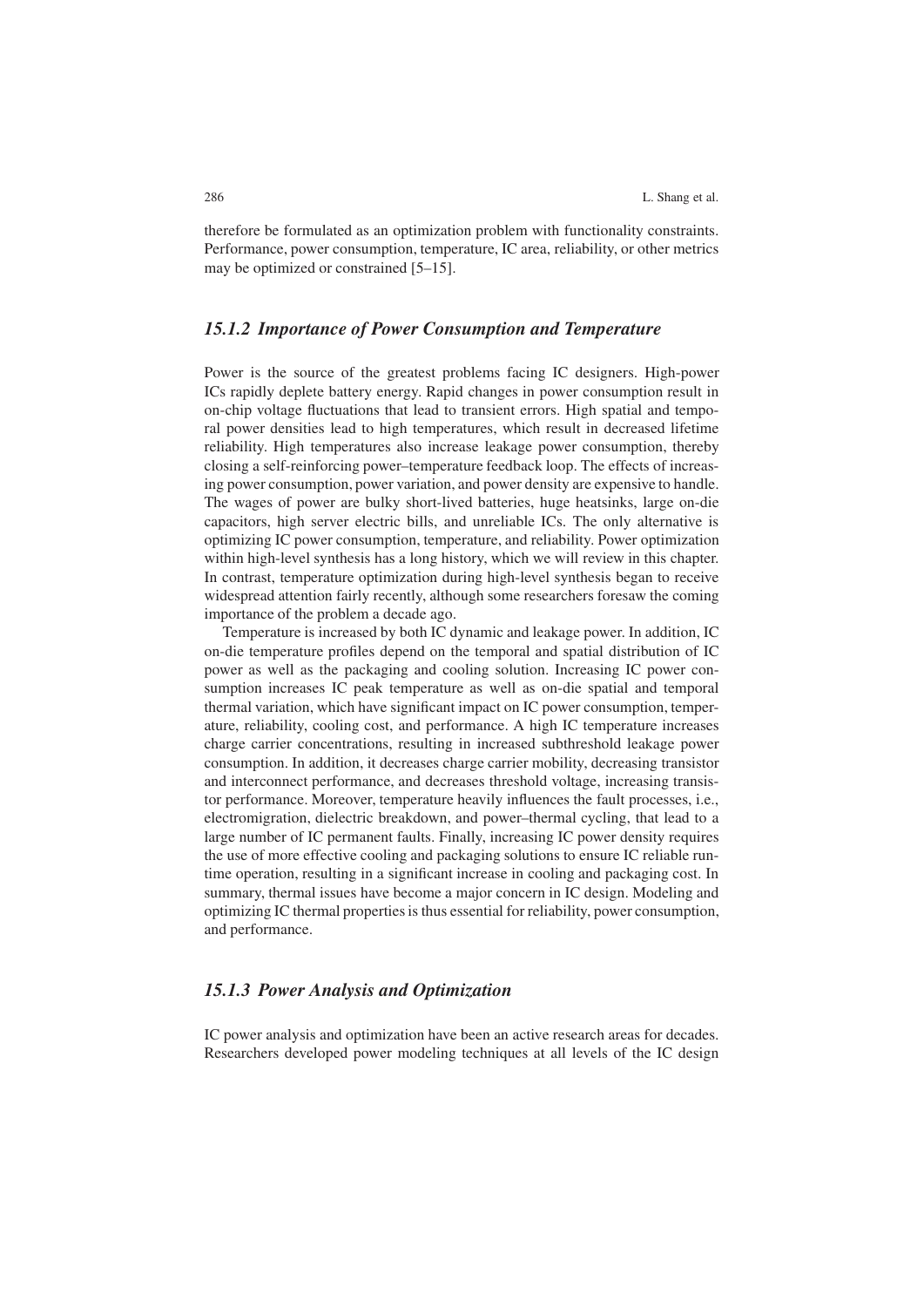therefore be formulated as an optimization problem with functionality constraints. Performance, power consumption, temperature, IC area, reliability, or other metrics may be optimized or constrained [5–15].

#### *15.1.2 Importance of Power Consumption and Temperature*

Power is the source of the greatest problems facing IC designers. High-power ICs rapidly deplete battery energy. Rapid changes in power consumption result in on-chip voltage fluctuations that lead to transient errors. High spatial and temporal power densities lead to high temperatures, which result in decreased lifetime reliability. High temperatures also increase leakage power consumption, thereby closing a self-reinforcing power–temperature feedback loop. The effects of increasing power consumption, power variation, and power density are expensive to handle. The wages of power are bulky short-lived batteries, huge heatsinks, large on-die capacitors, high server electric bills, and unreliable ICs. The only alternative is optimizing IC power consumption, temperature, and reliability. Power optimization within high-level synthesis has a long history, which we will review in this chapter. In contrast, temperature optimization during high-level synthesis began to receive widespread attention fairly recently, although some researchers foresaw the coming importance of the problem a decade ago.

Temperature is increased by both IC dynamic and leakage power. In addition, IC on-die temperature profiles depend on the temporal and spatial distribution of IC power as well as the packaging and cooling solution. Increasing IC power consumption increases IC peak temperature as well as on-die spatial and temporal thermal variation, which have significant impact on IC power consumption, temperature, reliability, cooling cost, and performance. A high IC temperature increases charge carrier concentrations, resulting in increased subthreshold leakage power consumption. In addition, it decreases charge carrier mobility, decreasing transistor and interconnect performance, and decreases threshold voltage, increasing transistor performance. Moreover, temperature heavily influences the fault processes, i.e., electromigration, dielectric breakdown, and power–thermal cycling, that lead to a large number of IC permanent faults. Finally, increasing IC power density requires the use of more effective cooling and packaging solutions to ensure IC reliable runtime operation, resulting in a significant increase in cooling and packaging cost. In summary, thermal issues have become a major concern in IC design. Modeling and optimizing IC thermal properties is thus essential for reliability, power consumption, and performance.

## *15.1.3 Power Analysis and Optimization*

IC power analysis and optimization have been an active research areas for decades. Researchers developed power modeling techniques at all levels of the IC design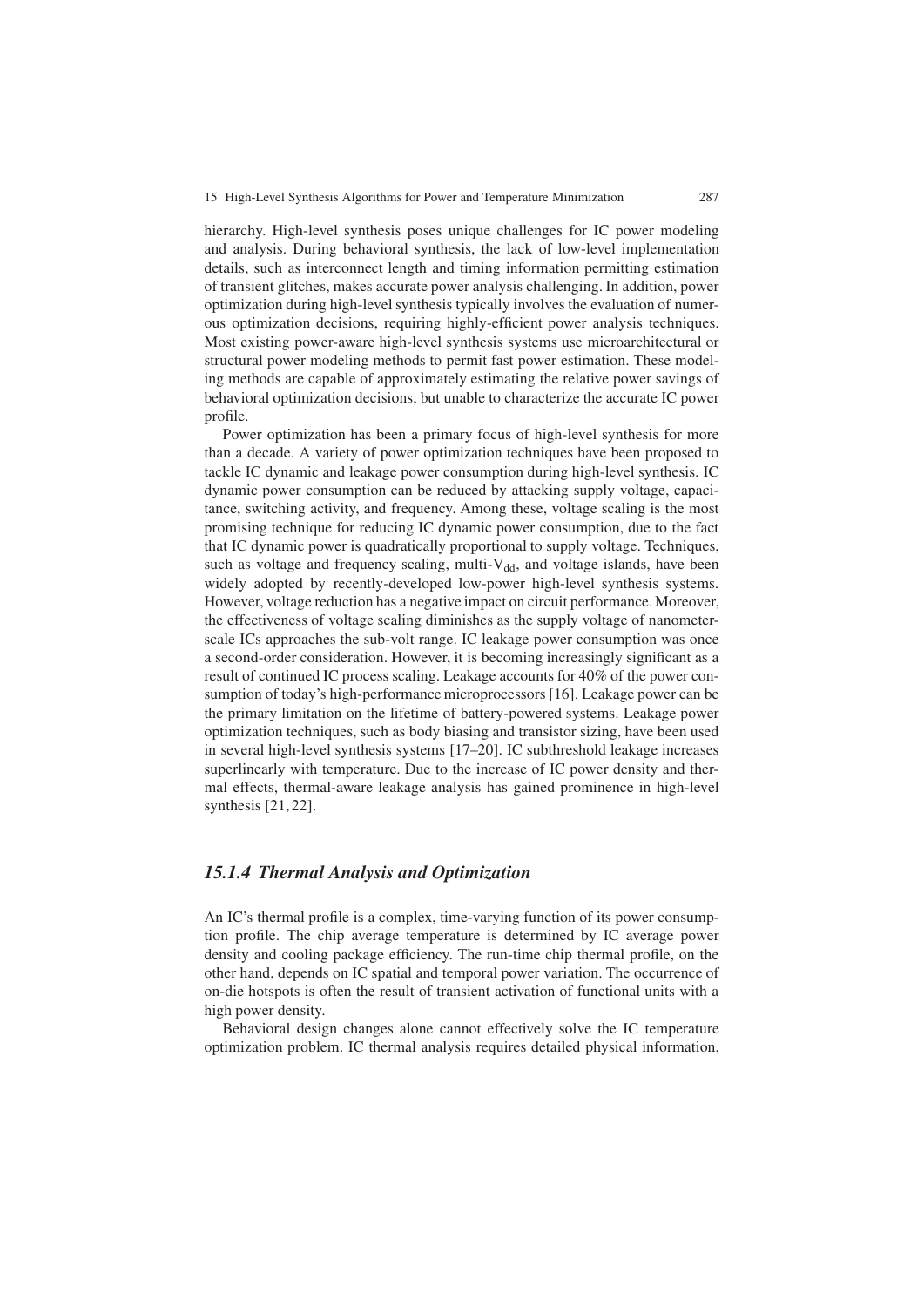hierarchy. High-level synthesis poses unique challenges for IC power modeling and analysis. During behavioral synthesis, the lack of low-level implementation details, such as interconnect length and timing information permitting estimation of transient glitches, makes accurate power analysis challenging. In addition, power optimization during high-level synthesis typically involves the evaluation of numerous optimization decisions, requiring highly-efficient power analysis techniques. Most existing power-aware high-level synthesis systems use microarchitectural or structural power modeling methods to permit fast power estimation. These modeling methods are capable of approximately estimating the relative power savings of behavioral optimization decisions, but unable to characterize the accurate IC power profile.

Power optimization has been a primary focus of high-level synthesis for more than a decade. A variety of power optimization techniques have been proposed to tackle IC dynamic and leakage power consumption during high-level synthesis. IC dynamic power consumption can be reduced by attacking supply voltage, capacitance, switching activity, and frequency. Among these, voltage scaling is the most promising technique for reducing IC dynamic power consumption, due to the fact that IC dynamic power is quadratically proportional to supply voltage. Techniques, such as voltage and frequency scaling, multi- $V_{dd}$ , and voltage islands, have been widely adopted by recently-developed low-power high-level synthesis systems. However, voltage reduction has a negative impact on circuit performance.Moreover, the effectiveness of voltage scaling diminishes as the supply voltage of nanometerscale ICs approaches the sub-volt range. IC leakage power consumption was once a second-order consideration. However, it is becoming increasingly significant as a result of continued IC process scaling. Leakage accounts for 40% of the power consumption of today's high-performance microprocessors [16]. Leakage power can be the primary limitation on the lifetime of battery-powered systems. Leakage power optimization techniques, such as body biasing and transistor sizing, have been used in several high-level synthesis systems [17–20]. IC subthreshold leakage increases superlinearly with temperature. Due to the increase of IC power density and thermal effects, thermal-aware leakage analysis has gained prominence in high-level synthesis [21, 22].

#### *15.1.4 Thermal Analysis and Optimization*

An IC's thermal profile is a complex, time-varying function of its power consumption profile. The chip average temperature is determined by IC average power density and cooling package efficiency. The run-time chip thermal profile, on the other hand, depends on IC spatial and temporal power variation. The occurrence of on-die hotspots is often the result of transient activation of functional units with a high power density.

Behavioral design changes alone cannot effectively solve the IC temperature optimization problem. IC thermal analysis requires detailed physical information,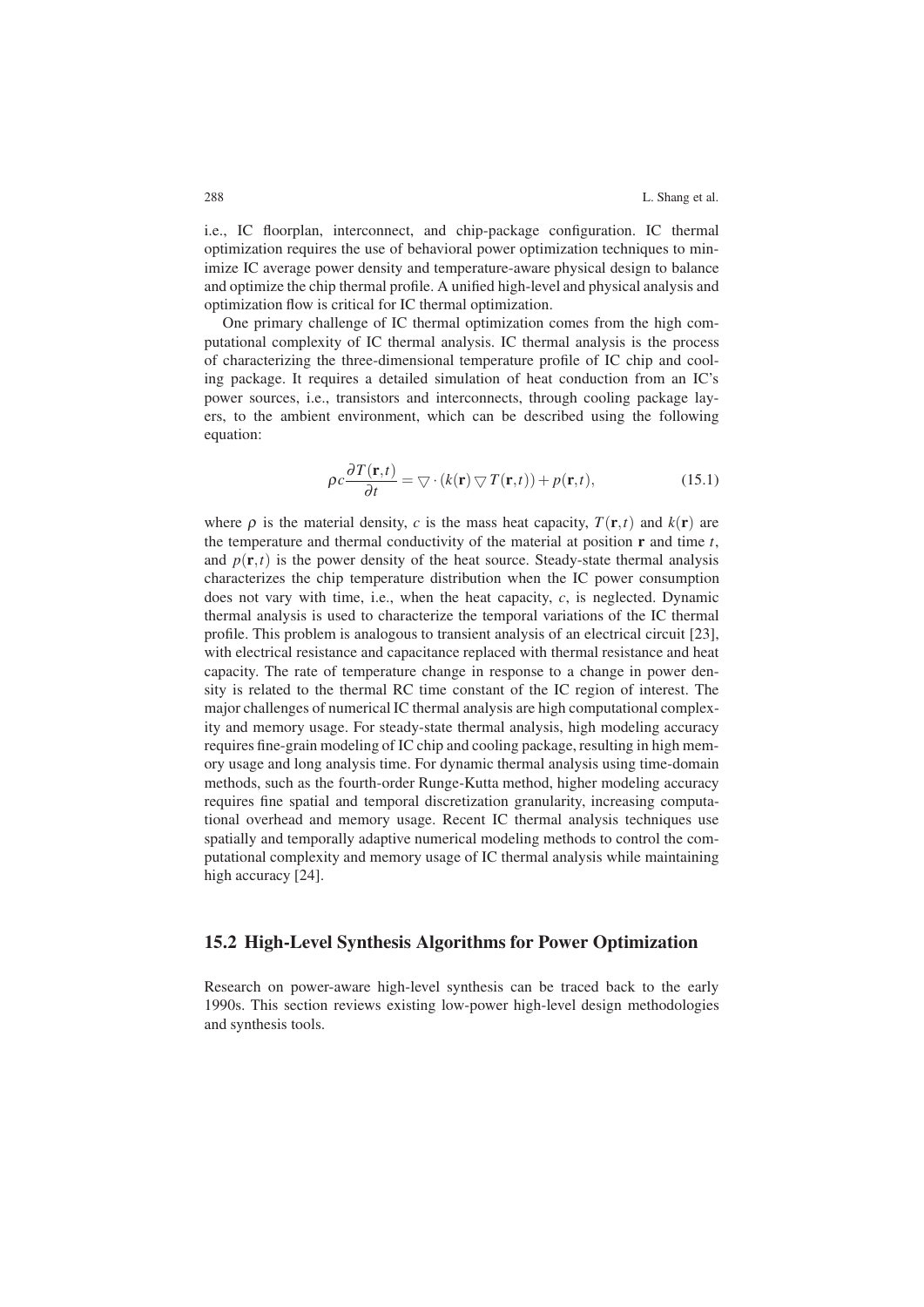i.e., IC floorplan, interconnect, and chip-package configuration. IC thermal optimization requires the use of behavioral power optimization techniques to minimize IC average power density and temperature-aware physical design to balance and optimize the chip thermal profile. A unified high-level and physical analysis and optimization flow is critical for IC thermal optimization.

One primary challenge of IC thermal optimization comes from the high computational complexity of IC thermal analysis. IC thermal analysis is the process of characterizing the three-dimensional temperature profile of IC chip and cooling package. It requires a detailed simulation of heat conduction from an IC's power sources, i.e., transistors and interconnects, through cooling package layers, to the ambient environment, which can be described using the following equation:

$$
\rho c \frac{\partial T(\mathbf{r},t)}{\partial t} = \nabla \cdot (k(\mathbf{r}) \nabla T(\mathbf{r},t)) + p(\mathbf{r},t),
$$
\n(15.1)

where  $\rho$  is the material density, *c* is the mass heat capacity,  $T(\mathbf{r},t)$  and  $k(\mathbf{r})$  are the temperature and thermal conductivity of the material at position **r** and time *t*, and  $p(\mathbf{r},t)$  is the power density of the heat source. Steady-state thermal analysis characterizes the chip temperature distribution when the IC power consumption does not vary with time, i.e., when the heat capacity, *c*, is neglected. Dynamic thermal analysis is used to characterize the temporal variations of the IC thermal profile. This problem is analogous to transient analysis of an electrical circuit [23], with electrical resistance and capacitance replaced with thermal resistance and heat capacity. The rate of temperature change in response to a change in power density is related to the thermal RC time constant of the IC region of interest. The major challenges of numerical IC thermal analysis are high computational complexity and memory usage. For steady-state thermal analysis, high modeling accuracy requires fine-grain modeling of IC chip and cooling package, resulting in high memory usage and long analysis time. For dynamic thermal analysis using time-domain methods, such as the fourth-order Runge-Kutta method, higher modeling accuracy requires fine spatial and temporal discretization granularity, increasing computational overhead and memory usage. Recent IC thermal analysis techniques use spatially and temporally adaptive numerical modeling methods to control the computational complexity and memory usage of IC thermal analysis while maintaining high accuracy [24].

#### **15.2 High-Level Synthesis Algorithms for Power Optimization**

Research on power-aware high-level synthesis can be traced back to the early 1990s. This section reviews existing low-power high-level design methodologies and synthesis tools.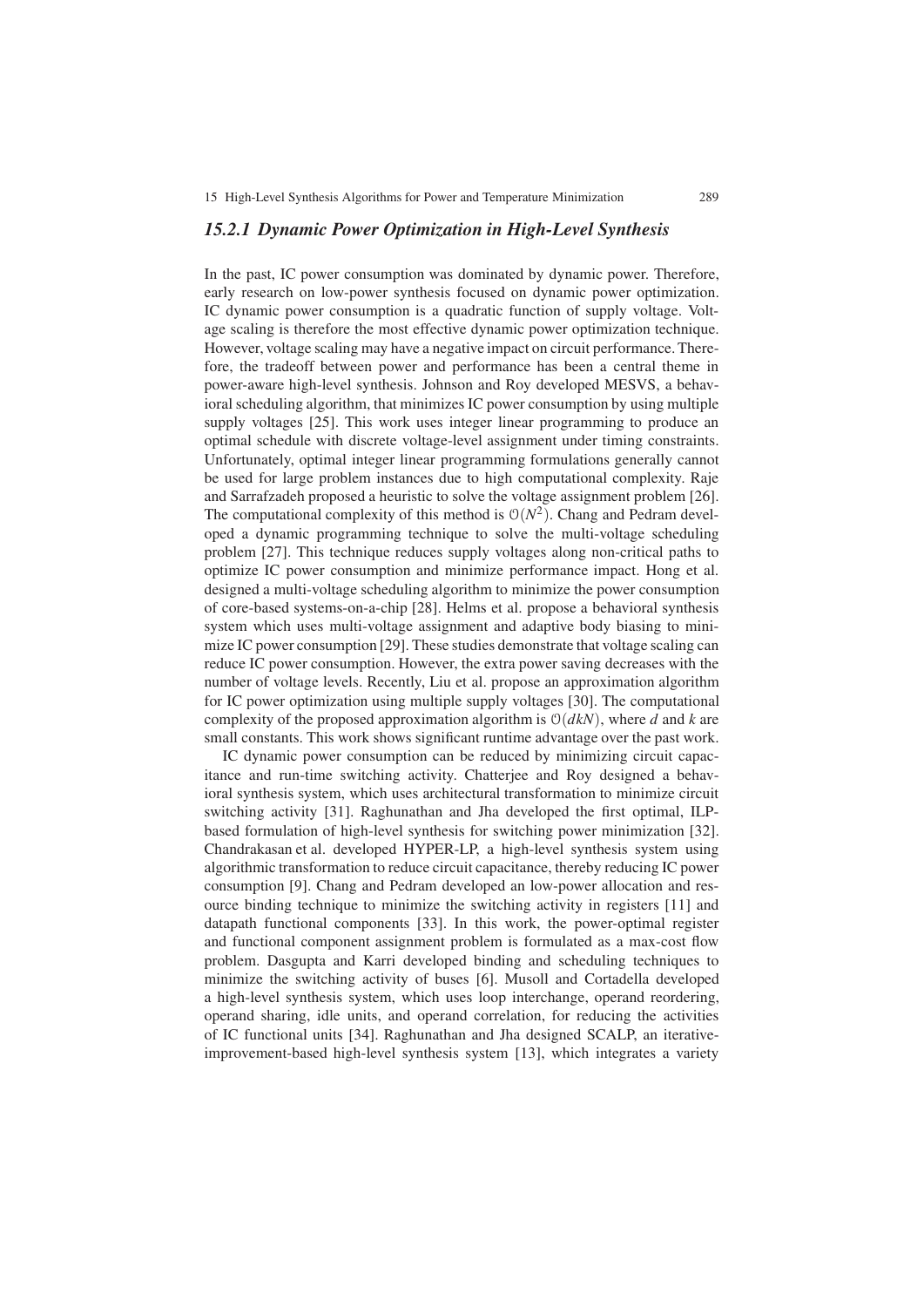#### *15.2.1 Dynamic Power Optimization in High-Level Synthesis*

In the past, IC power consumption was dominated by dynamic power. Therefore, early research on low-power synthesis focused on dynamic power optimization. IC dynamic power consumption is a quadratic function of supply voltage. Voltage scaling is therefore the most effective dynamic power optimization technique. However, voltage scaling may have a negative impact on circuit performance. Therefore, the tradeoff between power and performance has been a central theme in power-aware high-level synthesis. Johnson and Roy developed MESVS, a behavioral scheduling algorithm, that minimizes IC power consumption by using multiple supply voltages [25]. This work uses integer linear programming to produce an optimal schedule with discrete voltage-level assignment under timing constraints. Unfortunately, optimal integer linear programming formulations generally cannot be used for large problem instances due to high computational complexity. Raje and Sarrafzadeh proposed a heuristic to solve the voltage assignment problem [26]. The computational complexity of this method is  $O(N^2)$ . Chang and Pedram developed a dynamic programming technique to solve the multi-voltage scheduling problem [27]. This technique reduces supply voltages along non-critical paths to optimize IC power consumption and minimize performance impact. Hong et al. designed a multi-voltage scheduling algorithm to minimize the power consumption of core-based systems-on-a-chip [28]. Helms et al. propose a behavioral synthesis system which uses multi-voltage assignment and adaptive body biasing to minimize IC power consumption [29]. These studies demonstrate that voltage scaling can reduce IC power consumption. However, the extra power saving decreases with the number of voltage levels. Recently, Liu et al. propose an approximation algorithm for IC power optimization using multiple supply voltages [30]. The computational complexity of the proposed approximation algorithm is  $O(dk)$ , where *d* and *k* are small constants. This work shows significant runtime advantage over the past work.

IC dynamic power consumption can be reduced by minimizing circuit capacitance and run-time switching activity. Chatterjee and Roy designed a behavioral synthesis system, which uses architectural transformation to minimize circuit switching activity [31]. Raghunathan and Jha developed the first optimal, ILPbased formulation of high-level synthesis for switching power minimization [32]. Chandrakasan et al. developed HYPER-LP, a high-level synthesis system using algorithmic transformation to reduce circuit capacitance, thereby reducing IC power consumption [9]. Chang and Pedram developed an low-power allocation and resource binding technique to minimize the switching activity in registers [11] and datapath functional components [33]. In this work, the power-optimal register and functional component assignment problem is formulated as a max-cost flow problem. Dasgupta and Karri developed binding and scheduling techniques to minimize the switching activity of buses [6]. Musoll and Cortadella developed a high-level synthesis system, which uses loop interchange, operand reordering, operand sharing, idle units, and operand correlation, for reducing the activities of IC functional units [34]. Raghunathan and Jha designed SCALP, an iterativeimprovement-based high-level synthesis system [13], which integrates a variety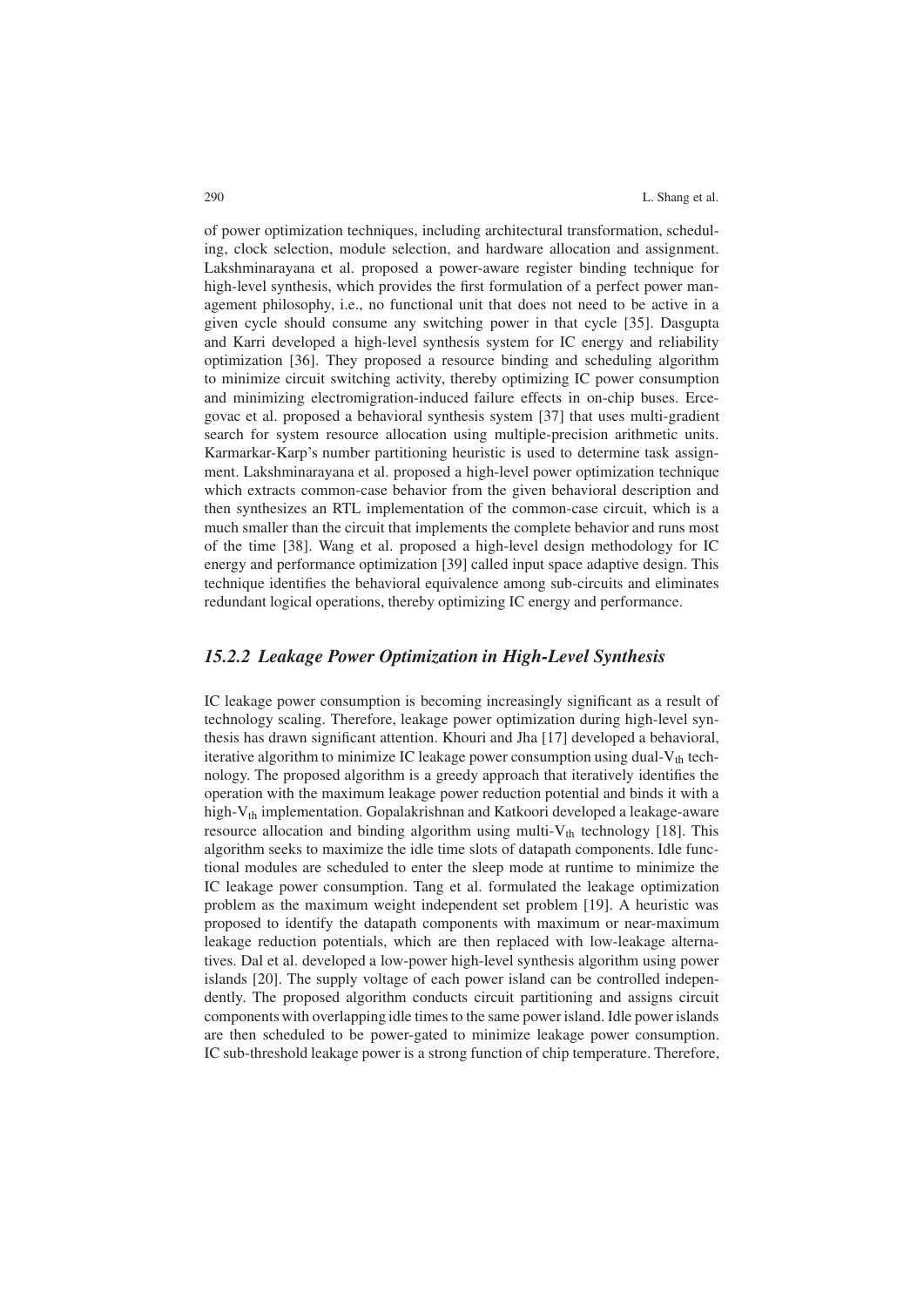of power optimization techniques, including architectural transformation, scheduling, clock selection, module selection, and hardware allocation and assignment. Lakshminarayana et al. proposed a power-aware register binding technique for high-level synthesis, which provides the first formulation of a perfect power management philosophy, i.e., no functional unit that does not need to be active in a given cycle should consume any switching power in that cycle [35]. Dasgupta and Karri developed a high-level synthesis system for IC energy and reliability optimization [36]. They proposed a resource binding and scheduling algorithm to minimize circuit switching activity, thereby optimizing IC power consumption and minimizing electromigration-induced failure effects in on-chip buses. Ercegovac et al. proposed a behavioral synthesis system [37] that uses multi-gradient search for system resource allocation using multiple-precision arithmetic units. Karmarkar-Karp's number partitioning heuristic is used to determine task assignment. Lakshminarayana et al. proposed a high-level power optimization technique which extracts common-case behavior from the given behavioral description and then synthesizes an RTL implementation of the common-case circuit, which is a much smaller than the circuit that implements the complete behavior and runs most of the time [38]. Wang et al. proposed a high-level design methodology for IC energy and performance optimization [39] called input space adaptive design. This technique identifies the behavioral equivalence among sub-circuits and eliminates redundant logical operations, thereby optimizing IC energy and performance.

### *15.2.2 Leakage Power Optimization in High-Level Synthesis*

IC leakage power consumption is becoming increasingly significant as a result of technology scaling. Therefore, leakage power optimization during high-level synthesis has drawn significant attention. Khouri and Jha [17] developed a behavioral, iterative algorithm to minimize IC leakage power consumption using dual- $V_{th}$  technology. The proposed algorithm is a greedy approach that iteratively identifies the operation with the maximum leakage power reduction potential and binds it with a high-V<sub>th</sub> implementation. Gopalakrishnan and Katkoori developed a leakage-aware resource allocation and binding algorithm using multi- $V_{th}$  technology [18]. This algorithm seeks to maximize the idle time slots of datapath components. Idle functional modules are scheduled to enter the sleep mode at runtime to minimize the IC leakage power consumption. Tang et al. formulated the leakage optimization problem as the maximum weight independent set problem [19]. A heuristic was proposed to identify the datapath components with maximum or near-maximum leakage reduction potentials, which are then replaced with low-leakage alternatives. Dal et al. developed a low-power high-level synthesis algorithm using power islands [20]. The supply voltage of each power island can be controlled independently. The proposed algorithm conducts circuit partitioning and assigns circuit components with overlapping idle times to the same power island. Idle power islands are then scheduled to be power-gated to minimize leakage power consumption. IC sub-threshold leakage power is a strong function of chip temperature. Therefore,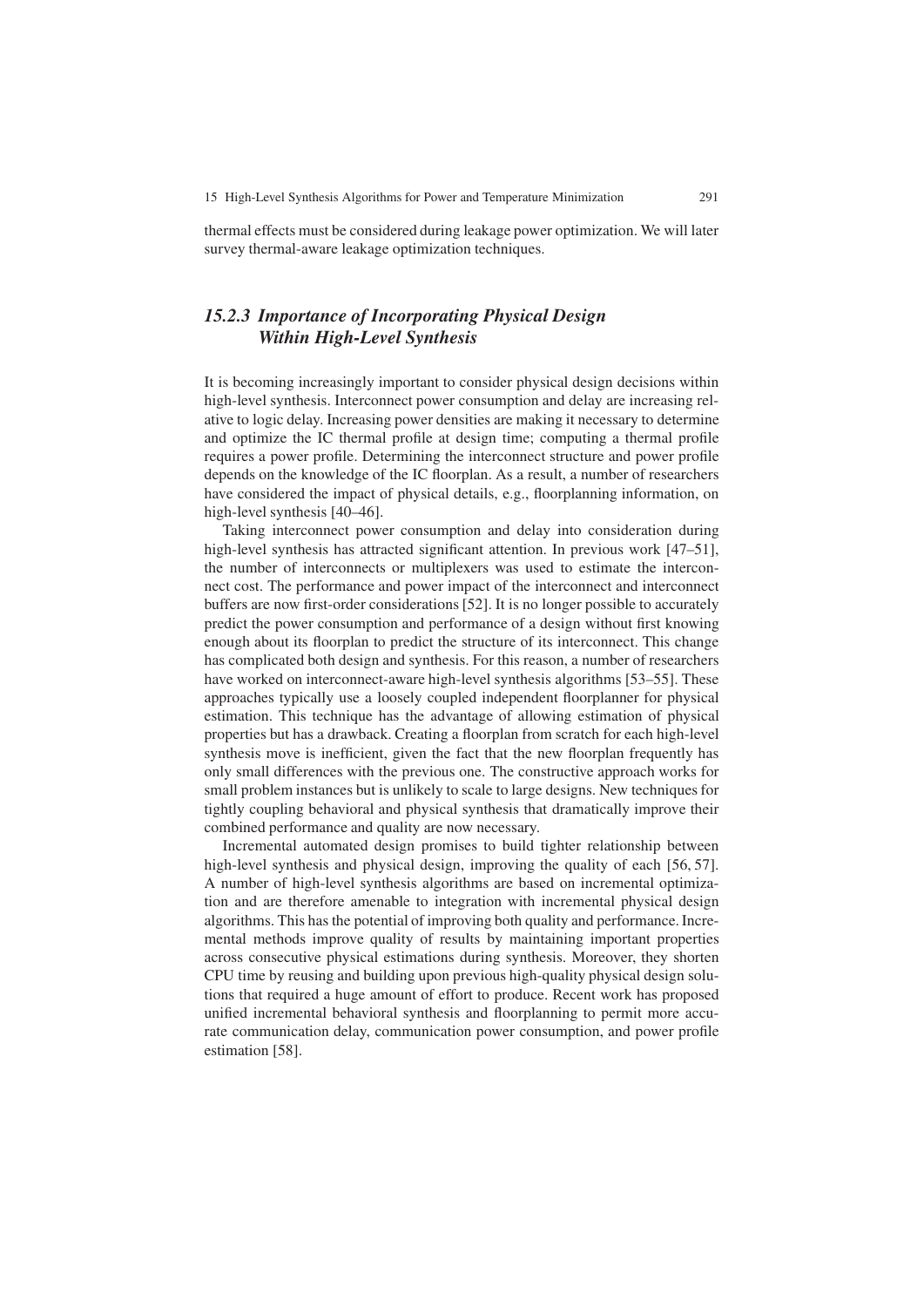thermal effects must be considered during leakage power optimization. We will later survey thermal-aware leakage optimization techniques.

## *15.2.3 Importance of Incorporating Physical Design Within High-Level Synthesis*

It is becoming increasingly important to consider physical design decisions within high-level synthesis. Interconnect power consumption and delay are increasing relative to logic delay. Increasing power densities are making it necessary to determine and optimize the IC thermal profile at design time; computing a thermal profile requires a power profile. Determining the interconnect structure and power profile depends on the knowledge of the IC floorplan. As a result, a number of researchers have considered the impact of physical details, e.g., floorplanning information, on high-level synthesis [40–46].

Taking interconnect power consumption and delay into consideration during high-level synthesis has attracted significant attention. In previous work [47–51], the number of interconnects or multiplexers was used to estimate the interconnect cost. The performance and power impact of the interconnect and interconnect buffers are now first-order considerations [52]. It is no longer possible to accurately predict the power consumption and performance of a design without first knowing enough about its floorplan to predict the structure of its interconnect. This change has complicated both design and synthesis. For this reason, a number of researchers have worked on interconnect-aware high-level synthesis algorithms [53–55]. These approaches typically use a loosely coupled independent floorplanner for physical estimation. This technique has the advantage of allowing estimation of physical properties but has a drawback. Creating a floorplan from scratch for each high-level synthesis move is inefficient, given the fact that the new floorplan frequently has only small differences with the previous one. The constructive approach works for small problem instances but is unlikely to scale to large designs. New techniques for tightly coupling behavioral and physical synthesis that dramatically improve their combined performance and quality are now necessary.

Incremental automated design promises to build tighter relationship between high-level synthesis and physical design, improving the quality of each [56, 57]. A number of high-level synthesis algorithms are based on incremental optimization and are therefore amenable to integration with incremental physical design algorithms. This has the potential of improving both quality and performance. Incremental methods improve quality of results by maintaining important properties across consecutive physical estimations during synthesis. Moreover, they shorten CPU time by reusing and building upon previous high-quality physical design solutions that required a huge amount of effort to produce. Recent work has proposed unified incremental behavioral synthesis and floorplanning to permit more accurate communication delay, communication power consumption, and power profile estimation [58].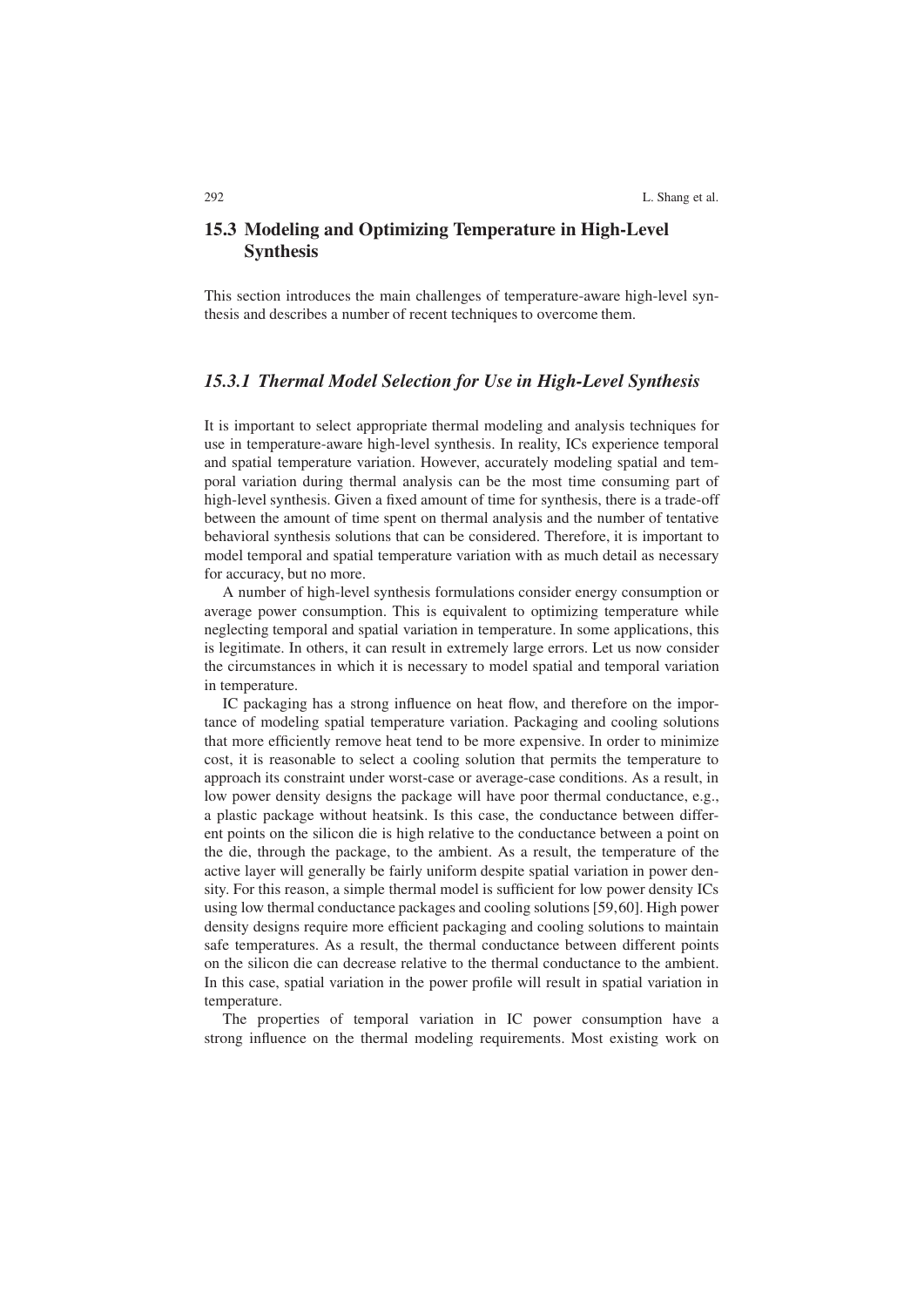# **15.3 Modeling and Optimizing Temperature in High-Level Synthesis**

This section introduces the main challenges of temperature-aware high-level synthesis and describes a number of recent techniques to overcome them.

## *15.3.1 Thermal Model Selection for Use in High-Level Synthesis*

It is important to select appropriate thermal modeling and analysis techniques for use in temperature-aware high-level synthesis. In reality, ICs experience temporal and spatial temperature variation. However, accurately modeling spatial and temporal variation during thermal analysis can be the most time consuming part of high-level synthesis. Given a fixed amount of time for synthesis, there is a trade-off between the amount of time spent on thermal analysis and the number of tentative behavioral synthesis solutions that can be considered. Therefore, it is important to model temporal and spatial temperature variation with as much detail as necessary for accuracy, but no more.

A number of high-level synthesis formulations consider energy consumption or average power consumption. This is equivalent to optimizing temperature while neglecting temporal and spatial variation in temperature. In some applications, this is legitimate. In others, it can result in extremely large errors. Let us now consider the circumstances in which it is necessary to model spatial and temporal variation in temperature.

IC packaging has a strong influence on heat flow, and therefore on the importance of modeling spatial temperature variation. Packaging and cooling solutions that more efficiently remove heat tend to be more expensive. In order to minimize cost, it is reasonable to select a cooling solution that permits the temperature to approach its constraint under worst-case or average-case conditions. As a result, in low power density designs the package will have poor thermal conductance, e.g., a plastic package without heatsink. Is this case, the conductance between different points on the silicon die is high relative to the conductance between a point on the die, through the package, to the ambient. As a result, the temperature of the active layer will generally be fairly uniform despite spatial variation in power density. For this reason, a simple thermal model is sufficient for low power density ICs using low thermal conductance packages and cooling solutions [59,60]. High power density designs require more efficient packaging and cooling solutions to maintain safe temperatures. As a result, the thermal conductance between different points on the silicon die can decrease relative to the thermal conductance to the ambient. In this case, spatial variation in the power profile will result in spatial variation in temperature.

The properties of temporal variation in IC power consumption have a strong influence on the thermal modeling requirements. Most existing work on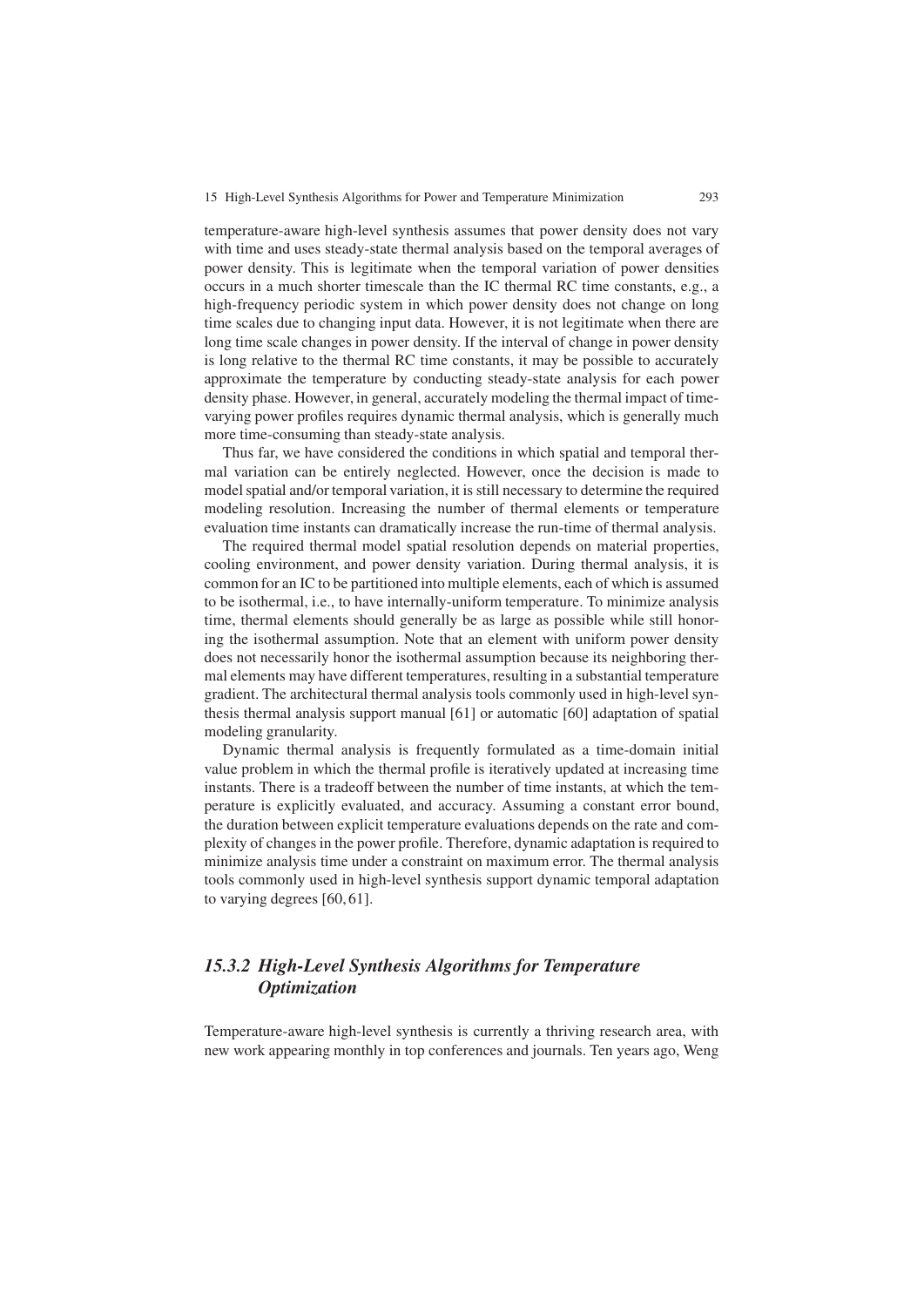temperature-aware high-level synthesis assumes that power density does not vary with time and uses steady-state thermal analysis based on the temporal averages of power density. This is legitimate when the temporal variation of power densities occurs in a much shorter timescale than the IC thermal RC time constants, e.g., a high-frequency periodic system in which power density does not change on long time scales due to changing input data. However, it is not legitimate when there are long time scale changes in power density. If the interval of change in power density is long relative to the thermal RC time constants, it may be possible to accurately approximate the temperature by conducting steady-state analysis for each power density phase. However, in general, accurately modeling the thermal impact of timevarying power profiles requires dynamic thermal analysis, which is generally much more time-consuming than steady-state analysis.

Thus far, we have considered the conditions in which spatial and temporal thermal variation can be entirely neglected. However, once the decision is made to model spatial and/or temporal variation, it is still necessary to determine the required modeling resolution. Increasing the number of thermal elements or temperature evaluation time instants can dramatically increase the run-time of thermal analysis.

The required thermal model spatial resolution depends on material properties, cooling environment, and power density variation. During thermal analysis, it is common for an IC to be partitioned into multiple elements, each of which is assumed to be isothermal, i.e., to have internally-uniform temperature. To minimize analysis time, thermal elements should generally be as large as possible while still honoring the isothermal assumption. Note that an element with uniform power density does not necessarily honor the isothermal assumption because its neighboring thermal elements may have different temperatures, resulting in a substantial temperature gradient. The architectural thermal analysis tools commonly used in high-level synthesis thermal analysis support manual [61] or automatic [60] adaptation of spatial modeling granularity.

Dynamic thermal analysis is frequently formulated as a time-domain initial value problem in which the thermal profile is iteratively updated at increasing time instants. There is a tradeoff between the number of time instants, at which the temperature is explicitly evaluated, and accuracy. Assuming a constant error bound, the duration between explicit temperature evaluations depends on the rate and complexity of changes in the power profile. Therefore, dynamic adaptation is required to minimize analysis time under a constraint on maximum error. The thermal analysis tools commonly used in high-level synthesis support dynamic temporal adaptation to varying degrees [60, 61].

# *15.3.2 High-Level Synthesis Algorithms for Temperature Optimization*

Temperature-aware high-level synthesis is currently a thriving research area, with new work appearing monthly in top conferences and journals. Ten years ago, Weng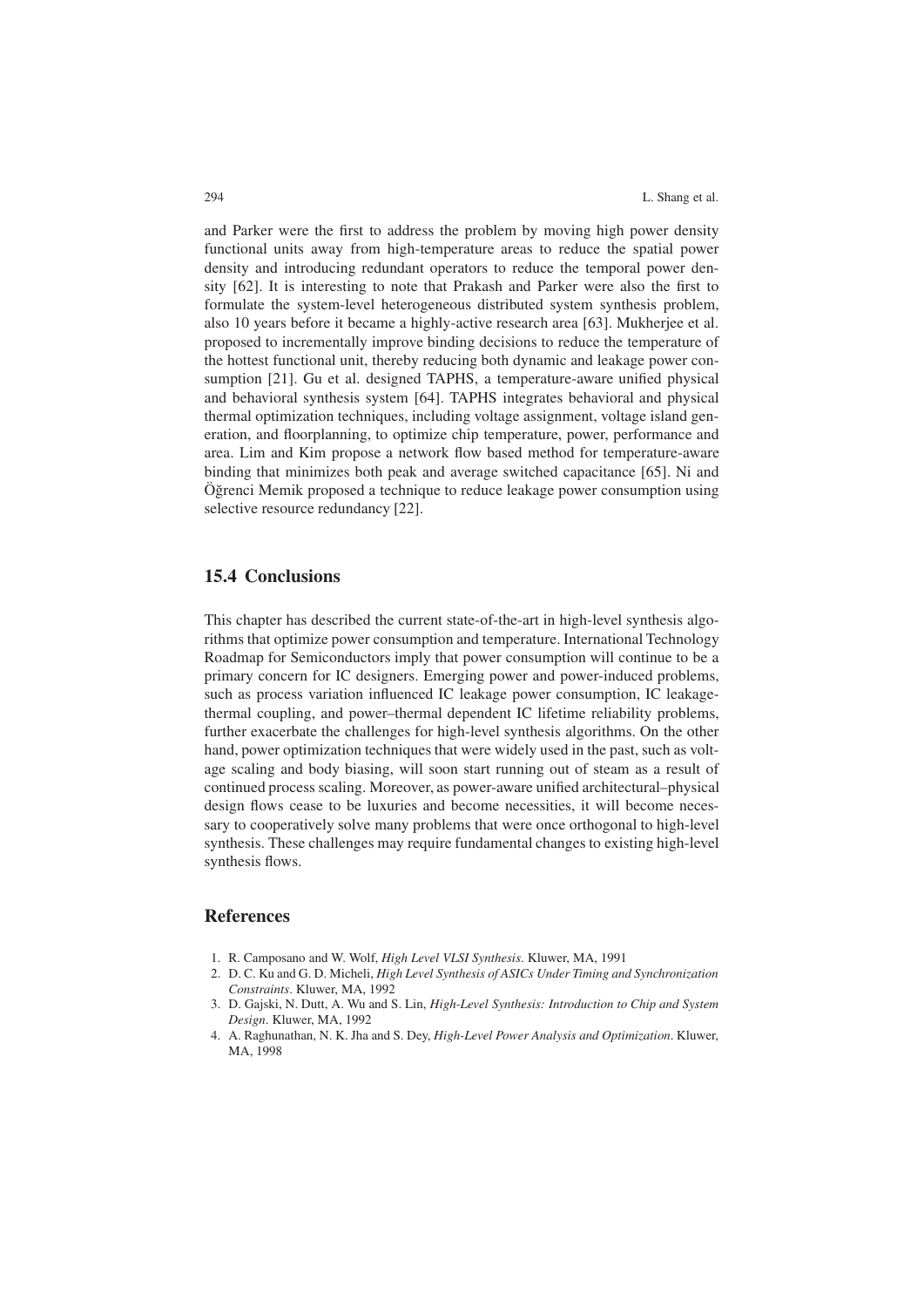and Parker were the first to address the problem by moving high power density functional units away from high-temperature areas to reduce the spatial power density and introducing redundant operators to reduce the temporal power density [62]. It is interesting to note that Prakash and Parker were also the first to formulate the system-level heterogeneous distributed system synthesis problem, also 10 years before it became a highly-active research area [63]. Mukherjee et al. proposed to incrementally improve binding decisions to reduce the temperature of the hottest functional unit, thereby reducing both dynamic and leakage power consumption [21]. Gu et al. designed TAPHS, a temperature-aware unified physical and behavioral synthesis system [64]. TAPHS integrates behavioral and physical thermal optimization techniques, including voltage assignment, voltage island generation, and floorplanning, to optimize chip temperature, power, performance and area. Lim and Kim propose a network flow based method for temperature-aware binding that minimizes both peak and average switched capacitance [65]. Ni and Oğrenci Memik proposed a technique to reduce leakage power consumption using selective resource redundancy [22].

### **15.4 Conclusions**

This chapter has described the current state-of-the-art in high-level synthesis algorithms that optimize power consumption and temperature. International Technology Roadmap for Semiconductors imply that power consumption will continue to be a primary concern for IC designers. Emerging power and power-induced problems, such as process variation influenced IC leakage power consumption, IC leakagethermal coupling, and power–thermal dependent IC lifetime reliability problems, further exacerbate the challenges for high-level synthesis algorithms. On the other hand, power optimization techniques that were widely used in the past, such as voltage scaling and body biasing, will soon start running out of steam as a result of continued process scaling. Moreover, as power-aware unified architectural–physical design flows cease to be luxuries and become necessities, it will become necessary to cooperatively solve many problems that were once orthogonal to high-level synthesis. These challenges may require fundamental changes to existing high-level synthesis flows.

### **References**

- 1. R. Camposano and W. Wolf, *High Level VLSI Synthesis*. Kluwer, MA, 1991
- 2. D. C. Ku and G. D. Micheli, *High Level Synthesis of ASICs Under Timing and Synchronization Constraints*. Kluwer, MA, 1992
- 3. D. Gajski, N. Dutt, A. Wu and S. Lin, *High-Level Synthesis: Introduction to Chip and System Design*. Kluwer, MA, 1992
- 4. A. Raghunathan, N. K. Jha and S. Dey, *High-Level Power Analysis and Optimization*. Kluwer, MA, 1998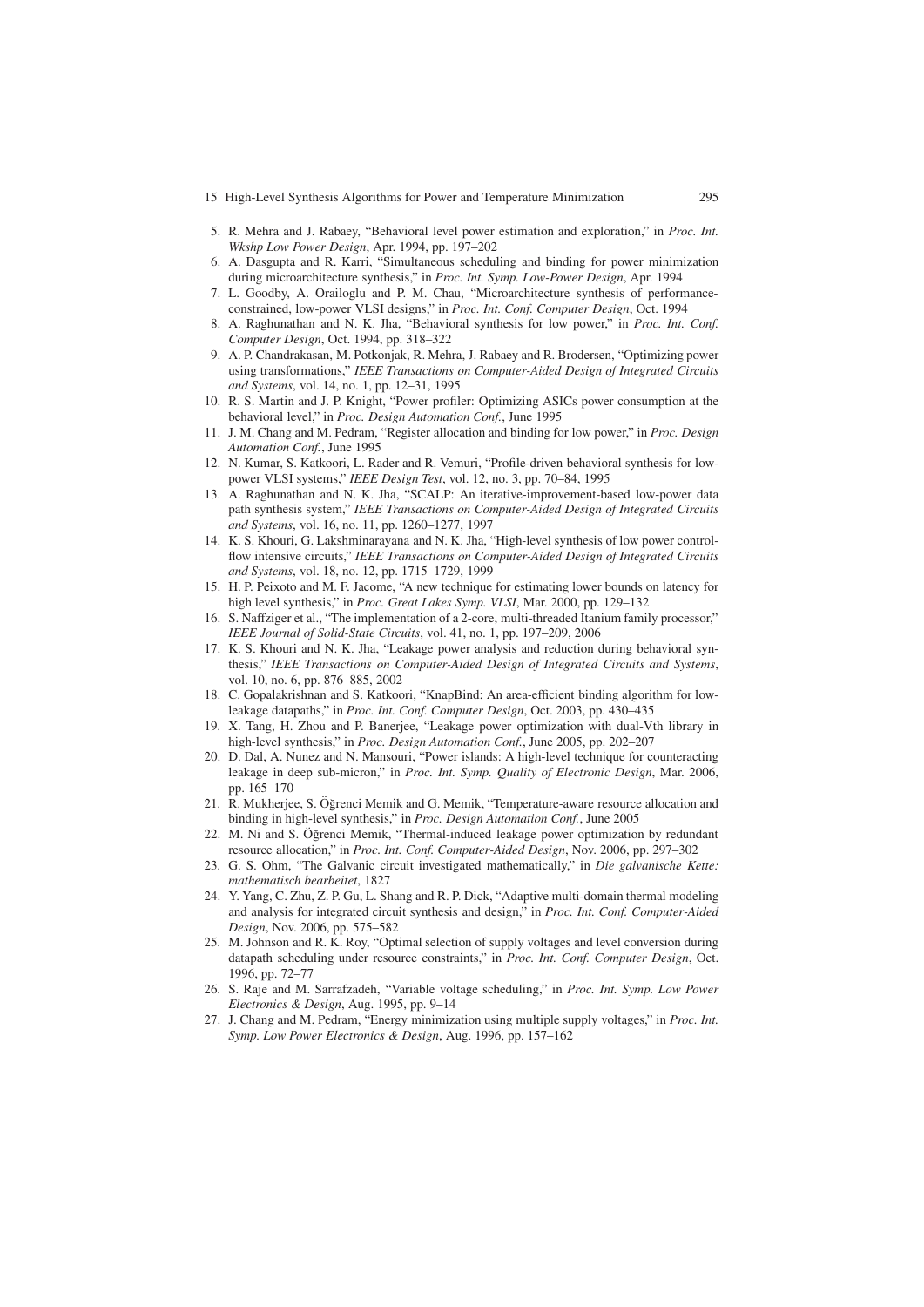- 5. R. Mehra and J. Rabaey, "Behavioral level power estimation and exploration," in *Proc. Int. Wkshp Low Power Design*, Apr. 1994, pp. 197–202
- 6. A. Dasgupta and R. Karri, "Simultaneous scheduling and binding for power minimization during microarchitecture synthesis," in *Proc. Int. Symp. Low-Power Design*, Apr. 1994
- 7. L. Goodby, A. Orailoglu and P. M. Chau, "Microarchitecture synthesis of performanceconstrained, low-power VLSI designs," in *Proc. Int. Conf. Computer Design*, Oct. 1994
- 8. A. Raghunathan and N. K. Jha, "Behavioral synthesis for low power," in *Proc. Int. Conf. Computer Design*, Oct. 1994, pp. 318–322
- 9. A. P. Chandrakasan, M. Potkonjak, R. Mehra, J. Rabaey and R. Brodersen, "Optimizing power using transformations," *IEEE Transactions on Computer-Aided Design of Integrated Circuits and Systems*, vol. 14, no. 1, pp. 12–31, 1995
- 10. R. S. Martin and J. P. Knight, "Power profiler: Optimizing ASICs power consumption at the behavioral level," in *Proc. Design Automation Conf.*, June 1995
- 11. J. M. Chang and M. Pedram, "Register allocation and binding for low power," in *Proc. Design Automation Conf.*, June 1995
- 12. N. Kumar, S. Katkoori, L. Rader and R. Vemuri, "Profile-driven behavioral synthesis for lowpower VLSI systems," *IEEE Design Test*, vol. 12, no. 3, pp. 70–84, 1995
- 13. A. Raghunathan and N. K. Jha, "SCALP: An iterative-improvement-based low-power data path synthesis system," *IEEE Transactions on Computer-Aided Design of Integrated Circuits and Systems*, vol. 16, no. 11, pp. 1260–1277, 1997
- 14. K. S. Khouri, G. Lakshminarayana and N. K. Jha, "High-level synthesis of low power controlflow intensive circuits," *IEEE Transactions on Computer-Aided Design of Integrated Circuits and Systems*, vol. 18, no. 12, pp. 1715–1729, 1999
- 15. H. P. Peixoto and M. F. Jacome, "A new technique for estimating lower bounds on latency for high level synthesis," in *Proc. Great Lakes Symp. VLSI*, Mar. 2000, pp. 129–132
- 16. S. Naffziger et al., "The implementation of a 2-core, multi-threaded Itanium family processor," *IEEE Journal of Solid-State Circuits*, vol. 41, no. 1, pp. 197–209, 2006
- 17. K. S. Khouri and N. K. Jha, "Leakage power analysis and reduction during behavioral synthesis," *IEEE Transactions on Computer-Aided Design of Integrated Circuits and Systems*, vol. 10, no. 6, pp. 876–885, 2002
- 18. C. Gopalakrishnan and S. Katkoori, "KnapBind: An area-efficient binding algorithm for lowleakage datapaths," in *Proc. Int. Conf. Computer Design*, Oct. 2003, pp. 430–435
- 19. X. Tang, H. Zhou and P. Banerjee, "Leakage power optimization with dual-Vth library in high-level synthesis," in *Proc. Design Automation Conf.*, June 2005, pp. 202–207
- 20. D. Dal, A. Nunez and N. Mansouri, "Power islands: A high-level technique for counteracting leakage in deep sub-micron," in *Proc. Int. Symp. Quality of Electronic Design*, Mar. 2006, pp. 165–170
- 21. R. Mukherjee, S. Öğrenci Memik and G. Memik, "Temperature-aware resource allocation and binding in high-level synthesis," in *Proc. Design Automation Conf.*, June 2005
- 22. M. Ni and S. Öğrenci Memik, "Thermal-induced leakage power optimization by redundant resource allocation," in *Proc. Int. Conf. Computer-Aided Design*, Nov. 2006, pp. 297–302
- 23. G. S. Ohm, "The Galvanic circuit investigated mathematically," in *Die galvanische Kette: mathematisch bearbeitet*, 1827
- 24. Y. Yang, C. Zhu, Z. P. Gu, L. Shang and R. P. Dick, "Adaptive multi-domain thermal modeling and analysis for integrated circuit synthesis and design," in *Proc. Int. Conf. Computer-Aided Design*, Nov. 2006, pp. 575–582
- 25. M. Johnson and R. K. Roy, "Optimal selection of supply voltages and level conversion during datapath scheduling under resource constraints," in *Proc. Int. Conf. Computer Design*, Oct. 1996, pp. 72–77
- 26. S. Raje and M. Sarrafzadeh, "Variable voltage scheduling," in *Proc. Int. Symp. Low Power Electronics & Design*, Aug. 1995, pp. 9–14
- 27. J. Chang and M. Pedram, "Energy minimization using multiple supply voltages," in *Proc. Int. Symp. Low Power Electronics & Design*, Aug. 1996, pp. 157–162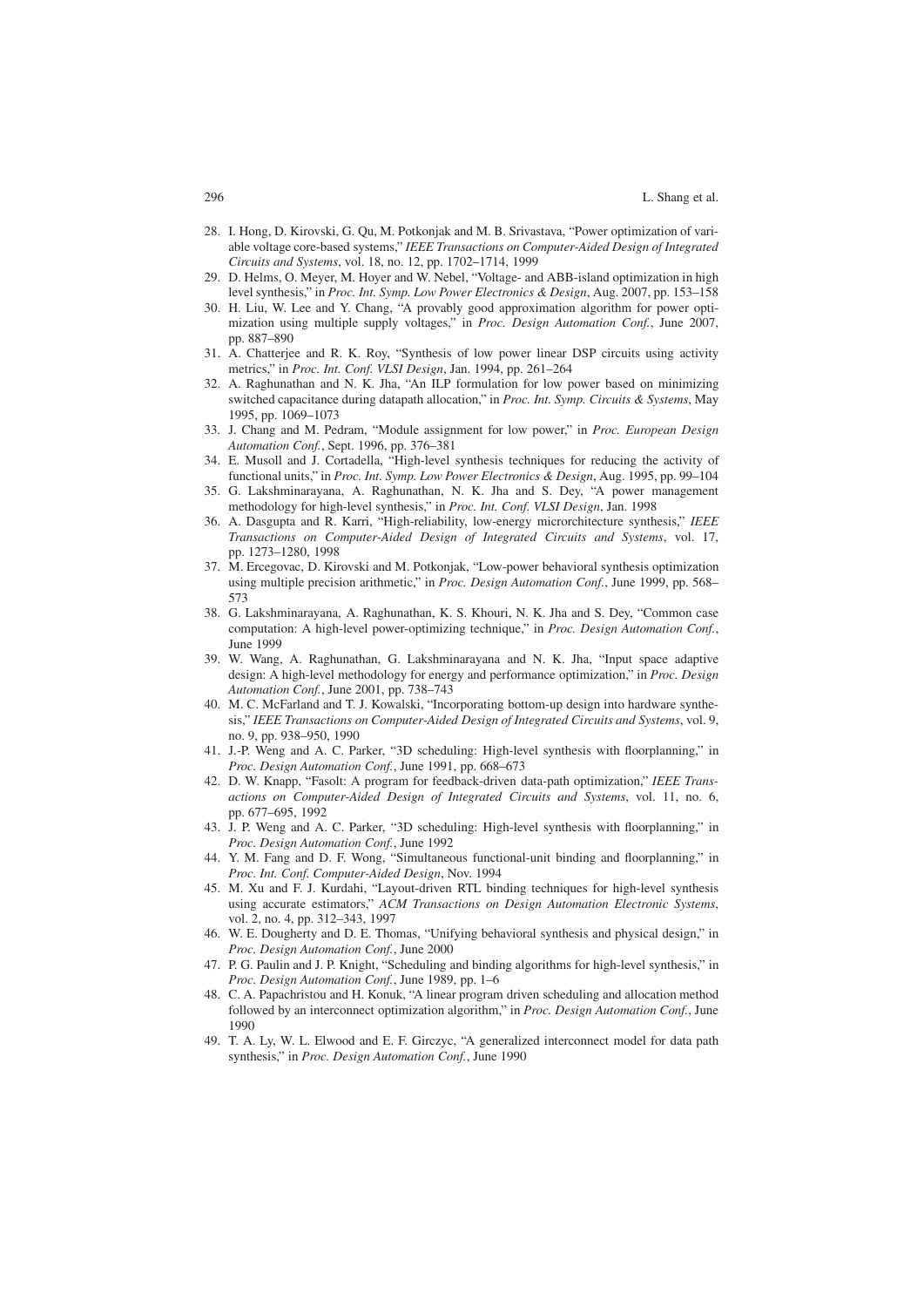- 28. I. Hong, D. Kirovski, G. Qu, M. Potkonjak and M. B. Srivastava, "Power optimization of variable voltage core-based systems," *IEEE Transactions on Computer-Aided Design of Integrated Circuits and Systems*, vol. 18, no. 12, pp. 1702–1714, 1999
- 29. D. Helms, O. Meyer, M. Hoyer and W. Nebel, "Voltage- and ABB-island optimization in high level synthesis," in *Proc. Int. Symp. Low Power Electronics & Design*, Aug. 2007, pp. 153–158
- 30. H. Liu, W. Lee and Y. Chang, "A provably good approximation algorithm for power optimization using multiple supply voltages," in *Proc. Design Automation Conf.*, June 2007, pp. 887–890
- 31. A. Chatterjee and R. K. Roy, "Synthesis of low power linear DSP circuits using activity metrics," in *Proc. Int. Conf. VLSI Design*, Jan. 1994, pp. 261–264
- 32. A. Raghunathan and N. K. Jha, "An ILP formulation for low power based on minimizing switched capacitance during datapath allocation," in *Proc. Int. Symp. Circuits & Systems*, May 1995, pp. 1069–1073
- 33. J. Chang and M. Pedram, "Module assignment for low power," in *Proc. European Design Automation Conf.*, Sept. 1996, pp. 376–381
- 34. E. Musoll and J. Cortadella, "High-level synthesis techniques for reducing the activity of functional units," in *Proc. Int. Symp. Low Power Electronics & Design*, Aug. 1995, pp. 99–104
- 35. G. Lakshminarayana, A. Raghunathan, N. K. Jha and S. Dey, "A power management methodology for high-level synthesis," in *Proc. Int. Conf. VLSI Design*, Jan. 1998
- 36. A. Dasgupta and R. Karri, "High-reliability, low-energy microrchitecture synthesis," *IEEE Transactions on Computer-Aided Design of Integrated Circuits and Systems*, vol. 17, pp. 1273–1280, 1998
- 37. M. Ercegovac, D. Kirovski and M. Potkonjak, "Low-power behavioral synthesis optimization using multiple precision arithmetic," in *Proc. Design Automation Conf.*, June 1999, pp. 568– 573
- 38. G. Lakshminarayana, A. Raghunathan, K. S. Khouri, N. K. Jha and S. Dey, "Common case computation: A high-level power-optimizing technique," in *Proc. Design Automation Conf.*, June 1999
- 39. W. Wang, A. Raghunathan, G. Lakshminarayana and N. K. Jha, "Input space adaptive design: A high-level methodology for energy and performance optimization," in *Proc. Design Automation Conf.*, June 2001, pp. 738–743
- 40. M. C. McFarland and T. J. Kowalski, "Incorporating bottom-up design into hardware synthesis," *IEEE Transactions on Computer-Aided Design of Integrated Circuits and Systems*, vol. 9, no. 9, pp. 938–950, 1990
- 41. J.-P. Weng and A. C. Parker, "3D scheduling: High-level synthesis with floorplanning," in *Proc. Design Automation Conf.*, June 1991, pp. 668–673
- 42. D. W. Knapp, "Fasolt: A program for feedback-driven data-path optimization," *IEEE Transactions on Computer-Aided Design of Integrated Circuits and Systems*, vol. 11, no. 6, pp. 677–695, 1992
- 43. J. P. Weng and A. C. Parker, "3D scheduling: High-level synthesis with floorplanning," in *Proc. Design Automation Conf.*, June 1992
- 44. Y. M. Fang and D. F. Wong, "Simultaneous functional-unit binding and floorplanning," in *Proc. Int. Conf. Computer-Aided Design*, Nov. 1994
- 45. M. Xu and F. J. Kurdahi, "Layout-driven RTL binding techniques for high-level synthesis using accurate estimators," *ACM Transactions on Design Automation Electronic Systems*, vol. 2, no. 4, pp. 312–343, 1997
- 46. W. E. Dougherty and D. E. Thomas, "Unifying behavioral synthesis and physical design," in *Proc. Design Automation Conf.*, June 2000
- 47. P. G. Paulin and J. P. Knight, "Scheduling and binding algorithms for high-level synthesis," in *Proc. Design Automation Conf.*, June 1989, pp. 1–6
- 48. C. A. Papachristou and H. Konuk, "A linear program driven scheduling and allocation method followed by an interconnect optimization algorithm," in *Proc. Design Automation Conf.*, June 1990
- 49. T. A. Ly, W. L. Elwood and E. F. Girczyc, "A generalized interconnect model for data path synthesis," in *Proc. Design Automation Conf.*, June 1990